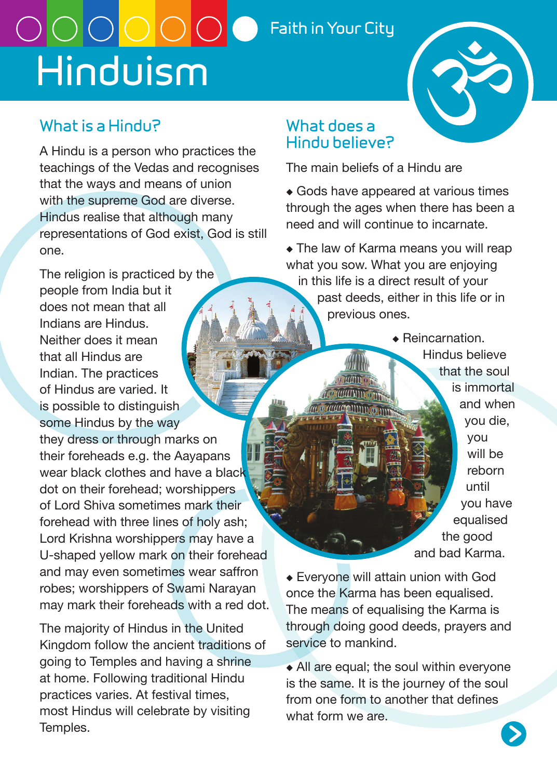# OOOOOO **Faith in Your City Hinduism**



## **What is a Hindu?**

A Hindu is a person who practices the teachings of the Vedas and recognises that the ways and means of union with the supreme God are diverse. Hindus realise that although many representations of God exist, God is still one.

The religion is practiced by the people from India but it does not mean that all Indians are Hindus. Neither does it mean that all Hindus are Indian. The practices of Hindus are varied. It is possible to distinguish some Hindus by the way they dress or through marks on their foreheads e.g. the Aayapans wear black clothes and have a black dot on their forehead; worshippers of Lord Shiva sometimes mark their forehead with three lines of holy ash; Lord Krishna worshippers may have a U-shaped yellow mark on their forehead and may even sometimes wear saffron robes; worshippers of Swami Narayan may mark their foreheads with a red dot.

The majority of Hindus in the United Kingdom follow the ancient traditions of going to Temples and having a shrine at home. Following traditional Hindu practices varies. At festival times, most Hindus will celebrate by visiting Temples.

#### **What does a Hindu believe?**

The main beliefs of a Hindu are

- ◆ Gods have appeared at various times through the ages when there has been a need and will continue to incarnate.
- ◆ The law of Karma means you will reap what you sow. What you are enjoying in this life is a direct result of your past deeds, either in this life or in previous ones.

 $\triangle$  Reincarnation. Hindus believe that the soul is immortal and when you die, you will be reborn until you have equalised the good and bad Karma.

◆ Everyone will attain union with God once the Karma has been equalised. The means of equalising the Karma is through doing good deeds, prayers and service to mankind.

◆ All are equal; the soul within everyone is the same. It is the journey of the soul from one form to another that defines what form we are.